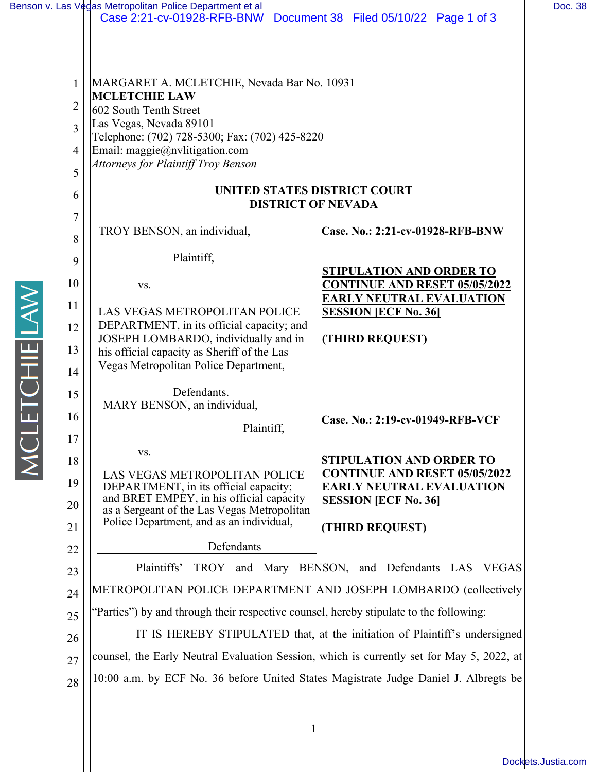|                                                                                                                     | Benson v. Las V¢gas Metropolitan Police Department et al<br>Case 2:21-cv-01928-RFB-BNW Document 38 Filed 05/10/22 Page 1 of 3                                                                                                                                                                                                                                                                                                                                                                                                                                                                                                                                                                             |                                                                                                                                                                                                                                                                                                                                  | Doc. 38 |
|---------------------------------------------------------------------------------------------------------------------|-----------------------------------------------------------------------------------------------------------------------------------------------------------------------------------------------------------------------------------------------------------------------------------------------------------------------------------------------------------------------------------------------------------------------------------------------------------------------------------------------------------------------------------------------------------------------------------------------------------------------------------------------------------------------------------------------------------|----------------------------------------------------------------------------------------------------------------------------------------------------------------------------------------------------------------------------------------------------------------------------------------------------------------------------------|---------|
| $\mathbf{1}$<br>$\overline{2}$<br>3<br>$\overline{4}$<br>5<br>6<br>$\overline{7}$<br>8<br>9<br>10<br>11<br>12<br>13 | MARGARET A. MCLETCHIE, Nevada Bar No. 10931<br><b>MCLETCHIE LAW</b><br>602 South Tenth Street<br>Las Vegas, Nevada 89101<br>Telephone: (702) 728-5300; Fax: (702) 425-8220<br>Email: maggie@nvlitigation.com<br>Attorneys for Plaintiff Troy Benson<br><b>UNITED STATES DISTRICT COURT</b><br><b>DISTRICT OF NEVADA</b><br>TROY BENSON, an individual,<br>Plaintiff,<br>VS.<br>LAS VEGAS METROPOLITAN POLICE<br>DEPARTMENT, in its official capacity; and<br>JOSEPH LOMBARDO, individually and in<br>his official capacity as Sheriff of the Las                                                                                                                                                          | Case. No.: 2:21-cv-01928-RFB-BNW<br><b>STIPULATION AND ORDER TO</b><br><b>CONTINUE AND RESET 05/05/2022</b><br><b>EARLY NEUTRAL EVALUATION</b><br><b>SESSION [ECF No. 36]</b><br>(THIRD REQUEST)                                                                                                                                 |         |
| <b>ETCHIE LAW</b><br>14<br>15<br>16<br>17<br>18<br>19<br>20<br>21<br>22<br>23<br>24<br>25<br>26<br>27<br>28         | Vegas Metropolitan Police Department,<br>Defendants.<br>MARY BENSON, an individual,<br>Plaintiff,<br>VS.<br>LAS VEGAS METROPOLITAN POLICE<br>DEPARTMENT, in its official capacity;<br>and BRET EMPEY, in his official capacity<br>as a Sergeant of the Las Vegas Metropolitan<br>Police Department, and as an individual,<br>Defendants<br>Plaintiffs'<br>METROPOLITAN POLICE DEPARTMENT AND JOSEPH LOMBARDO (collectively<br>"Parties") by and through their respective counsel, hereby stipulate to the following:<br>counsel, the Early Neutral Evaluation Session, which is currently set for May 5, 2022, at<br>10:00 a.m. by ECF No. 36 before United States Magistrate Judge Daniel J. Albregts be | Case. No.: 2:19-cv-01949-RFB-VCF<br><b>STIPULATION AND ORDER TO</b><br><b>CONTINUE AND RESET 05/05/2022</b><br><b>EARLY NEUTRAL EVALUATION</b><br><b>SESSION [ECF No. 36]</b><br>(THIRD REQUEST)<br>TROY and Mary BENSON, and Defendants LAS VEGAS<br>IT IS HEREBY STIPULATED that, at the initiation of Plaintiff's undersigned |         |

1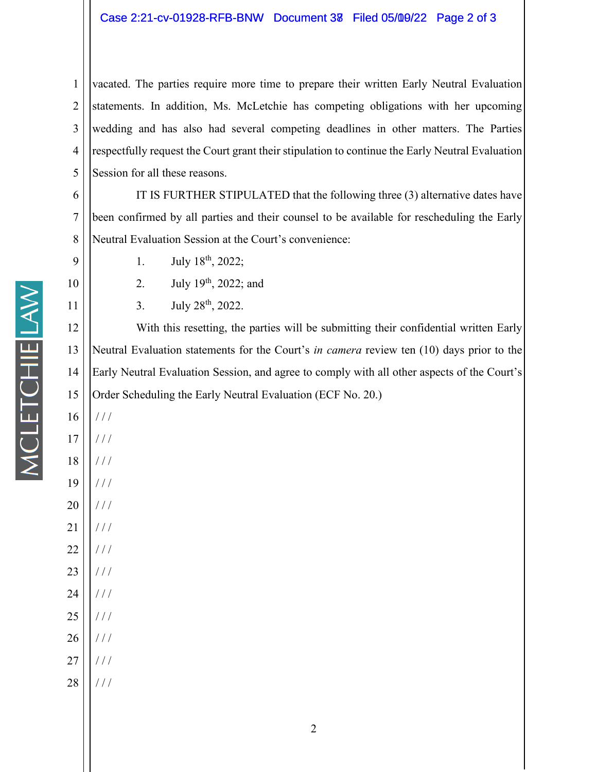1 2 3 4 5 vacated. The parties require more time to prepare their written Early Neutral Evaluation statements. In addition, Ms. McLetchie has competing obligations with her upcoming wedding and has also had several competing deadlines in other matters. The Parties respectfully request the Court grant their stipulation to continue the Early Neutral Evaluation Session for all these reasons.

6 7 8 IT IS FURTHER STIPULATED that the following three (3) alternative dates have been confirmed by all parties and their counsel to be available for rescheduling the Early Neutral Evaluation Session at the Court's convenience:

- 1. July  $18^{th}$ , 2022;
	- 2. July  $19^{th}$ , 2022; and
	- 3. July  $28^{th}$ ,  $2022$ .

12 13 14 15 With this resetting, the parties will be submitting their confidential written Early Neutral Evaluation statements for the Court's *in camera* review ten (10) days prior to the Early Neutral Evaluation Session, and agree to comply with all other aspects of the Court's Order Scheduling the Early Neutral Evaluation (ECF No. 20.)

16 17 / / / / / /

9

10

11

**MCLETCHIE LAW** 

- 18 / / /
- 19 / / /
- 20 / / /
- 21 / / /
- 22 / / /
- 23 / / /
- 24 / / /
- 25 / / /
- 26 / / /
- 27  $1/1$
- 28 / / /